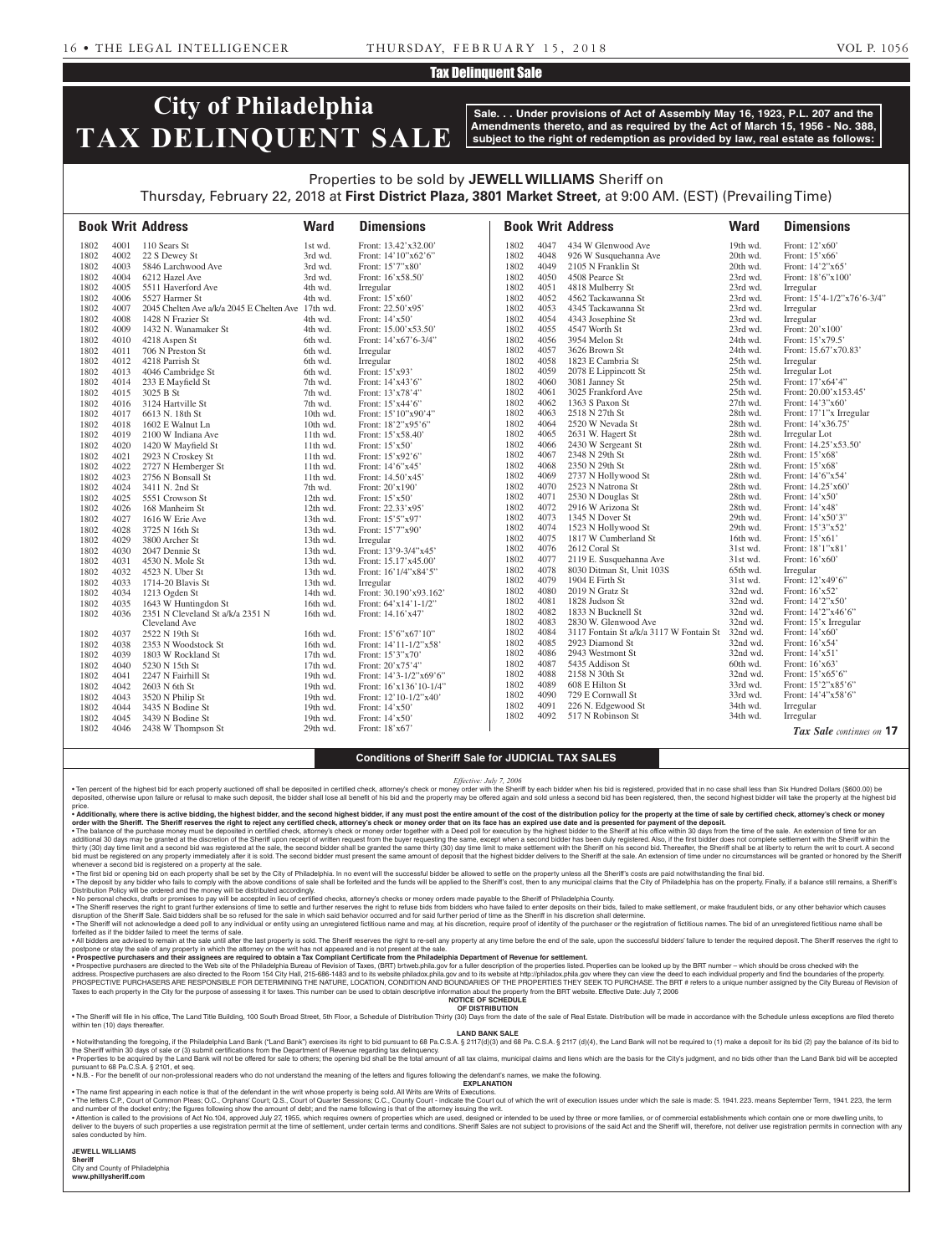### Tax Delinquent Sale

# **City of Philadelphia TAX DELINQUENT SALE**

**Sale. . . Under provisions of Act of Assembly May 16, 1923, P.L. 207 and the Amendments thereto, and as required by the Act of March 15, 1956 - No. 388, subject to the right of redemption as provided by law, real estate as follows:**

### Properties to be sold by **JEWELL WILLIAMS** Sheriff on Thursday, February 22, 2018 at **First District Plaza, 3801 Market Street**, at 9:00 AM. (EST) (Prevailing Time)

|      |      | <b>Book Writ Address</b>                           | <b>Ward</b> | <b>Dimensions</b>          |              |              | <b>Book Writ Address</b>                         | <b>Ward</b>          | <b>Dimensions</b>                  |
|------|------|----------------------------------------------------|-------------|----------------------------|--------------|--------------|--------------------------------------------------|----------------------|------------------------------------|
| 1802 | 4001 | 110 Sears St                                       | 1st wd.     | Front: 13.42'x32.00'       | 1802         | 4047         | 434 W Glenwood Ave                               | 19th wd.             | Front: 12'x60'                     |
| 1802 | 4002 | 22 S Dewey St                                      | 3rd wd.     | Front: 14'10"x62'6"        | 1802         | 4048         | 926 W Susquehanna Ave                            | 20th wd.             | Front: 15'x66'                     |
| 1802 | 4003 | 5846 Larchwood Ave                                 | 3rd wd.     | Front: 15'7"x80"           | 1802         | 4049         | 2105 N Franklin St                               | 20th wd.             | Front: 14'2"x65'                   |
| 1802 | 4004 | 6212 Hazel Ave                                     | 3rd wd.     | Front: 16'x58.50'          | 1802         | 4050         | 4508 Pearce St                                   | 23rd wd.             | Front: 18'6"x100"                  |
| 1802 | 4005 | 5511 Haverford Ave                                 | 4th wd.     | Irregular                  | 1802         | 4051         | 4818 Mulberry St                                 | 23rd wd.             | Irregular                          |
| 1802 | 4006 | 5527 Harmer St                                     | 4th wd.     | Front: 15'x60'             | 1802         | 4052         | 4562 Tackawanna St                               | 23rd wd.             | Front: 15'4-1/2"x76'6-3/4"         |
| 1802 | 4007 | 2045 Chelten Ave a/k/a 2045 E Chelten Ave 17th wd. |             | Front: 22.50'x95'          | 1802         | 4053         | 4345 Tackawanna St                               | 23rd wd.             | Irregular                          |
| 1802 | 4008 | 1428 N Frazier St                                  | 4th wd.     | Front: 14'x50'             | 1802         | 4054         | 4343 Josephine St                                | 23rd wd.             | Irregular                          |
| 1802 | 4009 | 1432 N. Wanamaker St                               | 4th wd.     | Front: 15.00'x53.50'       | 1802         | 4055         | 4547 Worth St                                    | 23rd wd.             | Front: 20'x100'                    |
| 1802 | 4010 | 4218 Aspen St                                      | 6th wd.     | Front: 14'x67'6-3/4"       | 1802         | 4056         | 3954 Melon St                                    | 24th wd.             | Front: 15'x79.5'                   |
| 1802 | 4011 | 706 N Preston St                                   | 6th wd.     | Irregular                  | 1802         | 4057         | 3626 Brown St                                    | 24th wd.             | Front: 15.67'x70.83'               |
| 1802 | 4012 | 4218 Parrish St                                    | 6th wd.     | Irregular                  | 1802         | 4058         | 1823 E Cambria St                                | 25th wd.             | Irregular                          |
| 1802 | 4013 | 4046 Cambridge St                                  | 6th wd.     | Front: 15'x93'             | 1802         | 4059         | 2078 E Lippincott St                             | 25th wd.             | Irregular Lot                      |
| 1802 | 4014 | 233 E Mayfield St                                  | 7th wd.     | Front: 14'x43'6"           | 1802         | 4060         | 3081 Janney St                                   | 25th wd.             | Front: 17'x64'4"                   |
| 1802 | 4015 | 3025 B St                                          | 7th wd.     | Front: 13'x78'4"           | 1802         | 4061         | 3025 Frankford Ave                               | 25th wd.             | Front: 20.00'x153.45'              |
| 1802 | 4016 | 3124 Hartville St                                  | 7th wd.     | Front: 15'x44'6"           | 1802         | 4062         | 1363 S Paxon St                                  | 27th wd.             | Front: 14'3"x60"                   |
| 1802 | 4017 | 6613 N. 18th St                                    | 10th wd.    | Front: 15'10"x90'4"        | 1802         | 4063         | 2518 N 27th St                                   | 28th wd.             | Front: 17'1"x Irregular            |
| 1802 | 4018 | 1602 E Walnut Ln                                   | 10th wd.    | Front: 18'2"x95'6"         | 1802         | 4064         | 2520 W Nevada St                                 | 28th wd.             | Front: 14'x36.75'                  |
| 1802 | 4019 | 2100 W Indiana Ave                                 | 11th wd.    | Front: 15'x58.40'          | 1802         | 4065         | 2631 W. Hagert St                                | 28th wd.             | Irregular Lot                      |
| 1802 | 4020 | 1420 W Mayfield St                                 | $11th$ wd.  | Front: $15'x50'$           | 1802         | 4066         | 2430 W Sergeant St                               | 28th wd.             | Front: 14.25'x53.50'               |
| 1802 | 4021 | 2923 N Croskey St                                  | $11th$ wd.  | Front: 15'x92'6"           | 1802         | 4067         | 2348 N 29th St                                   | 28th wd.             | Front: 15'x68'                     |
| 1802 | 4022 | 2727 N Hemberger St                                | $11th$ wd.  | Front: 14'6"x45'           | 1802         | 4068         | 2350 N 29th St                                   | 28th wd.             | Front: 15'x68'                     |
| 1802 | 4023 | 2756 N Bonsall St                                  | $11th$ wd.  | Front: 14.50'x45'          | 1802         | 4069         | 2737 N Hollywood St                              | 28th wd.             | Front: 14'6"x54'                   |
| 1802 | 4024 | 3411 N. 2nd St                                     | 7th wd.     | Front: 20'x190'            | 1802         | 4070         | 2523 N Natrona St                                | 28th wd.             | Front: 14.25'x60'                  |
| 1802 | 4025 | 5551 Crowson St                                    | 12th wd.    | Front: $15'x50'$           | 1802         | 4071         | 2530 N Douglas St                                | 28th wd.             | Front: 14'x50'                     |
| 1802 | 4026 | 168 Manheim St                                     | 12th wd.    | Front: 22.33'x95'          | 1802         | 4072         | 2916 W Arizona St                                | 28th wd.             | Front: 14'x48'                     |
| 1802 | 4027 | 1616 W Erie Ave                                    | 13th wd.    | Front: 15'5"x97'           | 1802         | 4073         | 1345 N Dover St                                  | 29th wd.             | Front: 14'x50'3"                   |
| 1802 | 4028 | 3725 N 16th St                                     | 13th wd.    | Front: 15'7"x90'           | 1802<br>1802 | 4074<br>4075 | 1523 N Hollywood St<br>1817 W Cumberland St      | 29th wd.             | Front: 15'3"x52'<br>Front: 15'x61' |
| 1802 | 4029 | 3800 Archer St                                     | 13th wd.    | Irregular                  | 1802         | 4076         | 2612 Coral St                                    | 16th wd.<br>31st wd. | Front: 18'1"x81'                   |
| 1802 | 4030 | 2047 Dennie St                                     | 13th wd.    | Front: 13'9-3/4"x45'       | 1802         | 4077         | 2119 E. Susquehanna Ave                          | 31st wd.             | Front: 16'x60'                     |
| 1802 | 4031 | 4530 N. Mole St                                    | 13th wd.    | Front: 15.17'x45.00'       | 1802         | 4078         | 8030 Ditman St, Unit 103S                        | 65th wd.             | Irregular                          |
| 1802 | 4032 | 4523 N. Uber St                                    | 13th wd.    | Front: 16'1/4"x84'5"       | 1802         | 4079         | 1904 E Firth St                                  | 31st wd.             | Front: 12'x49'6"                   |
| 1802 | 4033 | 1714-20 Blavis St                                  | 13th wd.    | Irregular                  | 1802         | 4080         | 2019 N Gratz St                                  | 32nd wd.             | Front: 16'x52'                     |
| 1802 | 4034 | 1213 Ogden St                                      | 14th wd.    | Front: 30.190'x93.162'     | 1802         | 4081         | 1828 Judson St                                   | 32nd wd.             | Front: 14'2"x50"                   |
| 1802 | 4035 | 1643 W Huntingdon St                               | 16th wd.    | Front: 64'x14'1-1/2"       | 1802         | 4082         | 1833 N Bucknell St                               | 32nd wd.             | Front: 14'2"x46'6"                 |
| 1802 | 4036 | 2351 N Cleveland St a/k/a 2351 N<br>Cleveland Ave  | 16th wd.    | Front: 14.16'x47'          | 1802         | 4083         | 2830 W. Glenwood Ave                             | 32nd wd.             | Front: 15'x Irregular              |
| 1802 | 4037 | 2522 N 19th St                                     | 16th wd.    | Front: 15'6"x67'10"        | 1802         | 4084         | 3117 Fontain St a/k/a 3117 W Fontain St 32nd wd. |                      | Front: $14'x60'$                   |
| 1802 | 4038 | 2353 N Woodstock St                                | 16th wd.    | Front: 14'11-1/2"x58'      | 1802         | 4085         | 2923 Diamond St                                  | 32nd wd.             | Front: 16'x54'                     |
| 1802 | 4039 | 1803 W Rockland St                                 | 17th wd.    | Front: 15'3"x70"           | 1802         | 4086         | 2943 Westmont St                                 | 32nd wd.             | Front: 14'x51'                     |
| 1802 | 4040 | 5230 N 15th St                                     | 17th wd.    | Front: 20'x75'4"           | 1802         | 4087         | 5435 Addison St                                  | 60th wd.             | Front: 16'x63'                     |
| 1802 | 4041 | 2247 N Fairhill St                                 | 19th wd.    | Front: $14'3-1/2''x69'6''$ | 1802         | 4088         | 2158 N 30th St                                   | 32nd wd.             | Front: 15'x65'6"                   |
| 1802 | 4042 | 2603 N 6th St                                      | 19th wd.    | Front: 16'x136'10-1/4"     | 1802         | 4089         | 608 E Hilton St                                  | 33rd wd.             | Front: 15'2"x85'6"                 |
| 1802 | 4043 | 3520 N Philip St                                   | 19th wd.    | Front: 12'10-1/2"x40"      | 1802         | 4090         | 729 E Cornwall St                                | 33rd wd.             | Front: 14'4"x58'6"                 |
| 1802 | 4044 | 3435 N Bodine St                                   | 19th wd.    | Front: 14'x50'             | 1802         | 4091         | 226 N. Edgewood St                               | 34th wd.             | Irregular                          |
| 1802 | 4045 | 3439 N Bodine St                                   | 19th wd.    | Front: 14'x50'             | 1802         | 4092         | 517 N Robinson St                                | 34th wd.             | Irregular                          |
| 1802 | 4046 | 2438 W Thompson St                                 | 29th wd.    | Front: 18'x67'             |              |              |                                                  |                      | <b>Tax Sale</b> continues on 17    |
|      |      |                                                    |             |                            |              |              |                                                  |                      |                                    |

### **Conditions of Sheriff Sale for JUDICIAL TAX SALES**

*Effective: July 7, 2006*

• Ten percent of the highest bid for each property auctioned off shall be deposited in certified check, attorney's check or money order with the Sheriff by each bidder when his bid is registered, provided that in no case s price.

• Additionally, where there is active bidding, the highest bidder, and the second highest bidder, if any must post the entire amount of the cost of the distribution policy for the property at the time of sale by certified

∙ The balance of the purchase money must be deposited in certified check, attorney's check or money order together with a Deed poll for execution by the highest bidder to the Sheriff at his office within 30 days from the bid must be registered on any property immediately after it is sold. The second bidder must present the same amount of deposit that the highest bidder delivers to the Sheriff at the sale. An extension of time under no circ whenever a second bid is registered on a property at the sale.

• The first bid or opening bid on each property shall be set by the City of Philadelphia. In no event will the successful bidder be allowed to settle on the property unless all the Sheriff's costs are paid notwithstanding

Distribution Policy will be ordered and the money will be distributed accordingly.<br>• No personal checks, drafts or provided in the accepted in lea corpled in lieu of certified checks, attorney's checks or money orders mad disruption of the Sheriff Sale. Said bidders shall be so refused for the sale in which said behavior occurred and for said further period of time as the Sheriff in his discretion shall determine.<br>• The Sheriff will not ac

forfeited as if the bidder failed to meet the terms of sale. . All bidders are advised to remain at the sale until after the last property is sold. The Sheriff reserves the right to re-sell any property at any time before the end of the sale, upon the successful bidders' failure to

postpone or stay the sale of any property in which the attorney on the writ has not appeared and is not present at the sale.

• Prospective purchasers and their assignees are required to obtain a Tax Compliant Certificate from the Philadelphia Department of Revenue for settlement. Prospective Doloked up by the BRT number – which should be cross c

PROSPECTIVE PURCHASERS ARE RESPONSIBLE FOR DETERMINING THE NATURE, LOCATION, CONDITION AND BOUNDARIES OF THE PROPERTIES THEY SEEK TO PURCHASE. The BRT # refers to a unique number assigned by the City Bureau of Revision of Taxes to each property in the City for the purpose of assessing it for taxes. This number can be used to obtain descriptive information about the property from the BRT website. Effective Date: July 7, 2006 **NOTICE OF SCHEDULE**

**OF DISTRIBUTION**

. The Sheriff will file in his office, The Land Title Building, 100 South Broad Street, 5th Floor, a Schedule of Distribution Thirty (30) Days from the date of the sale of Real Estate. Distribution will be made in accordan

within ten (10) days thereafter

**LAND BANK SALE**

• Notwithstanding the foregoing, if the Philadelphia Land Bank ("Land Bank") exercises its right to bid pursuant to 68 Pa.C.S.A. § 2117(d)(3) and 68 Pa.C.S.A. § 2117 (d)(4), the Land Bank will not be required to (1) make a . Properties to be acquired by the Land Bank will not be offered for sale to others; the opening bid shall be the total amount of all tax claims, municipal claims and liens which are the basis for the City's judgment, and pursuant to 68 Pa.C.S.A. § 2101, et seq.

• N.B. - For the benefit of our non-professional readers who do not understand the meaning of the letters and figures following the defendant's names, we make the following.

**EXPLANATION**  • The name first appearing in each notice is that of the defendant in the writ whose property is being sold. All Writs are Writs of Executions.

. The letters C.P., Court of Common Pleas; O.C., Orphans' Court; Q.S., Court of Quarter Sessions; C.C., County Court - indicate the Court out of which the writ of execution issues under which the sale is made: S. 1941. 223 and number of the docket entry; the figures following show the amount of debt; and the name following is that of the attorney issuing the writ.

• Attention is called to the provisions of Act No.104, approved July 27, 1955, which requires owners of properties which are used, designed or intended to be used by three or more families, or of commercial establishments sales conducted by him.

**JEWELL WILLIAMS Sheriff** 

City and County of Philadelphia **www.phillysheriff.com**